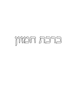# ברכת המזון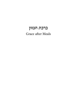# ברכת המזון Grace after Meals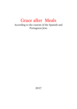# Grace after Meals

According to the custom of the Spanish and Portuguese Jews

2017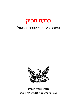# ברכת המזון כמנהג ק״ק יהודי ספרד ופורטוגל



# אמת מארץ תצמח בשנת **כי ביתי בית תפלה יקרא** לפ״ק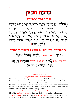# ברכת המזון

(אחר הסעודה יש אומרים

הַלַּת יִיִ יְדַבִּר־פִּי<sup>.</sup> וְיבְרֵדִּ כְּל-בְּשָׂר שֵׁם קָדְשׁוֹ לְעוֹלָם וְעֶד : וַאֲנִחְנוּ נְבְרֵךְ יָהִי מֵעַתְּה וְעַד עוֹלָם הַלְלוּיָה : וַיְדַבֵּר אֵלַי זֶה הַשָּׁלְחָן אֲשֶׁר לִפְּנֵי יְיָ : אֲבְרָכְה אֶת יְיָ בְּכָל־עֵת תְּמִיד תְּהִלְּתוֹ בְּפִי: סוֹף דָּבְר הַכֹּל נִשְׁמָע אֶת הٖאֱלֹהִים יְרָא וְאֶת מִצְוֹתְיו שְׁמוֹר כִּי־זֶה ֿ כָּל־הָאָדָֽុុֽ ∷)

אחר הסעודה נוטלין ידים۰ אם המסובין שלשה יאמר המברך

נְבְרֵךְ (בעשרה מוסיף אֱלֹהֵינוּ) שֶׁאֲכַלְנוּ מִשֶּׁלֹוֹ :

והמסובין עונין **בַּ**רוּך (בעשרה מוסיפין אֱלֹהֵינוּ) שֵׁאֲכַלִנוּ ּמְשֶׁלֹוֹי וּבְטוּבוֹ הַגַּדוֹל חַיֵינוּ :

#### \*GRACE AFTER MEALS

#### The following is said by some before Grace:

My mouth shall speak the praise of the Lord: and let all flesh bless his holy name for ever and ever. But we will bless the Lord from this time forth and for evermore. Praise the Lord. And he said unto me: 'This is the table that is before the Lord.' I will bless the Lord at all times; his praise shall continually be in my mouth. Let us hear the conclusion of the whole matter: fear God, and keep his commandments, for this is the whole duty of man.

*If three men have eaten together, one of them says:* 

Bless him (*with ten or more men:* Bless our God) of whose gifts we have eaten. *The others answer:* Blessed be he (*with ten or more men:* Blessed be our God) of whose gifts we have eaten, and through whose abundant goodness we live.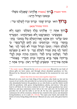וּחוזר המברך **בַּ**רוּך (בעשרה אֱלֹהִינוּ) שֶׁאָּכִלְנוּ מִשָּׁלֹוֹ \* וּבְ טוּבוֹ הַ גָּ דוֹל חָ יִ ֽ ינוּ׃

ב**ְרוּךְ** הוּא ּ וּבְרוּךְ שְׁמוֹ ּ וּבְרוּךְ זִכְרוֹ לְעְוֹלְמֵי עַד־:

### היחיד מתחיל מכאן׃

בְּרוּךְ אַתְּה יְיָ אֱלֹהֵינוּ מֶלֶדְ הֶעוֹלָם<sup>,</sup> הַזָּנֵנוּ וְלֹא

מִמְעֲשֵׂינוּי הַמְפַרְנְסֵנוּ וְלֹא מִצִּדְקוֹתֶינוּ۰ הַמְּעֲדִיף ֿטוּבוֹ עָלֵינוּי הַזָּן אוֹתֲנוּ וְאֶת־הֲעוֹלָם כֻּלּוֹ בְּטוּבוֹי בְּחֵןי בְּחֶסֶד<sup>ָ,</sup> בְּרֶיַח וּּבְרְחֲמִים נֹתֵן לֶחֶם לְכָל-בָּשָׂר<sup>ְ,</sup> כִּי ֧֖֖֖֖֖֖֖֖֖֖֪ׅ֚֚֚֚֚֚֚֚֚֚֚֚֝<u>֚</u> לְעוֹלָם חַסְדּוֹ : וְטוּבוֹ הַגְּדוֹל תְּמִיד לֹא חֳפַר לְנוּ · וְאַל ֧֧֧֖֧֦֧֧֦֧֧֧ׅ֧֧֧֧֧ׅ֧֧֦֧֧֧֧֧֧֧֧֧֧֧ׅ֧֧֧֧֧֧֧֧֧֧֧֧֧֧֧֧֧֧֧֧֧֧֧֚֚֚֚֝֬֝֝֬֝֬֜֓֓֓֝֬֓֩<br>֧֧֧֧֧֧֧֧֧֧֧֧֜ ֧֖֖֖֖֖֖֧֢ׅ֧֖֧֪֪֦֧֖֧֪֦֧֧֧֚֚֚֚֚֚֚֚֚֚֚֚֚֝֝֓֓֓֝֬֝֓֓֝֬֝֓֓֬֓֓֝֬֝֬֝֬ יֶחְסַר לְנוּ מְזוֹן תְּמִיד לְעוֹלָם וָעֶד<sup>.</sup> כִּי הוּא זָן וּמְפַרְנֵס לַבֹּלי וְשֻׁלְחָנוֹ עָרוּדִּ לַבֹּלי וְהִתְקִין מִחְיָה וּמְזוֹן לְבָל־ ׇ֘֒ בְּרִיּוֹתָיו אֲשֶׁר בְּרָא בְּרְחֲמְיו וּבְרֹב חֲסָדְיו ׁ בְּאָמוּר ֿ פּוֹתֵחַ אֶת־יָדֶידּ וּמַשְׂבִיעַ לְכָל־חַי רָצוֹן: בְּרוּדְ אַתְּה יְיָ ֺ֘

\* *The reader repeats:* Blessed be he (*with ten or more men:* Blessed be our God) of whose gifts we have eaten, and through whose abundant goodness we live. Blessed be he, blessed be his name, and blessed be his memorial for ever and ever.

#### *If fewer than three men have eaten together, begin here:*

Blessed are you, Lord, our God, King of the universe, who feeds us, but not by reason of our works; who provides for us, but not by reason of our righteousness; who abundantly bestows his goodness on us; who feeds us and the whole world with his goodness; with grace, loving-kindness, plenty, and mercy, "who gives food to all flesh, for his mercy endures for ever". His great goodness has never failed us; and may sustenance never fail us for ever and ever; for he feeds and provides for all; and his table is set for all. He has also appointed food and sustenance for all his creatures, whom he has created in his mercy and abundant loving-kindness; as it is said: (Ps. 145:16) "You open your hand, and satisfy the desire of every living thing with favour." Blessed are you, Lord, who gives food to all.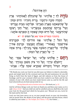הַ זָּ ן אֶ ת־הַ כֹּל ׃

מ**ִדֶרָ לְדִּ יְיָ אֱלֹהֵינוּ**י עַל שֶׁהִנְחַלְתָּ לַאֲבוֹתֵינוּי אֶרֶץ **[** ּהֶמְדָּה טוֹבָה וּרְחָבָה י בְּרִית וְתוֹרָה ּ חַיִּים וּמְזוֹן ּעַל שֵׁהְוֹצֵאתָנוּ מֵאֵרֵץ מִצְרַיִם<sup>.</sup> וּפְדִיתֲנוּ מִבִּית עֲבָדִים<sup>.</sup> וְעַל בְּרִיתְדּ שֶׁתְתִמְתָּ בִּבְשָׂרֵנוּ<sup>.</sup> וְעַל חֻקֵּי רָצְוֹנְדִּ ּעֶּהְוֹדַעְמְנוּ ׁי וְעַל חַיִּים וּמָזוֹן שֶׁאַתָּה זָן וּמְפַרְנֵס אוֹתֲנוּ :

בחנוכה ובפורים אומר צאן על הנסים דף י׳א

וְעַל הַכֹּל יִי אֱלֹהֵינוּ ֹ אֱנוּ מוֹדִים לָדִּ וּמְבְרְכִים אֶת־שָׁמְדִּ· בְּאָמוּר־· וְאֲבַלְתָּ וְשָׂבְעָתָ<sup>.</sup> וּבֵרַבְתָּ אֶת־יִיְ אֵלֹהֶידִּי עַל־הָאֲרֵץ הַטּוֹבָה אֲשֶׁר נֵתַן־לָדִּ: בָּרוּדְ אַתָּה \* יְ י۰ָ עַ ל הָ אָ ֽ רֶ ץ וְ עַ ל הַ מָּ זוֹן׃

 $\Box$ רַחֵם יִי אֱלֹהִינוּ עָלֵינוּ וְעַל יִשְׂרָאֵל עַמְּדִּ וְעַל יְרוּשָׁלִַם עִירָךִּי וְעַל הַר צִיּוֹן מִשְׁכַּן כְּבוֹדָךִּי וְעַל ֧֖֧֖֖֖֖֖֖֧֚֚֚֚֚֚֚֚֝֝֬<u>֚</u> ּ הַבְּיָת הַגָּדוֹל וְהַקְדוֹשׁ שֶׁנִּקְרָא שִׁמְדִּ עָלְיו׃ אָבִינוּ

*During Hanucáh and on Puréem insert here* 'We thank you,' p. 22.

And for all these things, Lord, our God, we thank you and bless your name; as it is said:  $(Deut. 8:10)$  " And you shall eat and be satisfied and you shall bless the Lord your God, for the good land which he has given you." Blessed are you, Lord, for the land and for the food.

Lord, our God, have mercy on us, on your people Israel, on your city Jerusalem, and on mount Zion, the abode of your glory, and the great and holy house, which is called by your name (i.e. The Temple, see 2 Chron.  $7:16$ ). Our Father, ...

3

<sup>\*</sup> We thank you, Lord, our God, for you did cause our fathers to inherit a desirable, good, and ample land; for the covenant and Law, life and sustenance; for you did bring us forth from the land of Egypt, and did redeem us from the house of bondage; and for your covenant which you have sealed in our flesh, and for the statutes of your will, which you have made known unto us, and for the life and food wherewith you do feed and provide for us.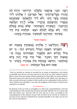ָרְעֳנוּ ּ פַּרְנְסֵנוּ י כַּלְכְּלֵנוּ הַרְוִיחֵנוּ ־צרוֹתינוּ ֧֖֖֖֪ׅ֪֦֖֚֚֚֚֚֚֚֚֚֚֚֚֚֚֚֝֝֓֝֓֝֓֓֓֝֬֝֓֝֬֝֓ ְ אַ ל תַּ צְ רִ יכֵ ֽ נוּ יְ יָ אֱ להֵ ֽ ינוּ לִ ידֵ י ۰ ו מַתְּנוֹת בָּשָׂר וָדָם י וְלֹא לִידֵי הַלְוְאָתָם<sup>.</sup> שֶׁמַּתְּנָתָם<sup>.</sup> מְרֻבְּה اللَّالُــوَٰـلَاص ن מְעָטָּרה וְ ְ  $\sim$ אָל ה**ָרְהְבָה** ו ֧֧֧֧֖֖֧֦֧֧֦֧֧֧֧֧֧֧֧ׅ֧֧֧֧֧֧֧֧֧֧֧֧֧֧֧֚֚֚֚֚֚֚֚֝֝֝֝֬֝֬֝֬֝֬֝֬֝֬֝֬֝֬֝֬֩֓֝֬֝֬֝֬֝֬֝֬֝֬֝֬<br>֧֧֧֧֧֧֧֧֛֧֧֛֜֜֩֩ ּ יָרָה וְהַפִּתוּחַה ּ שֵׁלֹּא נֵבוֹשׁ ולֹא נִכְלִם לִעוֹלִם הִבֵּאֵ<sup>,</sup> וּמִלְכוּת בִּית הַ זֶּ ה۰ ְ ׁ מְשִׁיחָד<sup>ָ.</sup> תַּחֲזִירֶנְּה לִמְקוֹמָה<sup>ָ.</sup> בִּמְהֵרָה בְיָמֵינוּ :

### (בשבת אומר

בּמִצְוַת יוֹם ב*ּמִ*צְוֹתֵיך ּוְהַחֲלִיצֵנוּ יְיָ אֱלֹהֵינוּ רְ צֵ ה ְ הַשְּׁבִיעִי הַשַּׁבְָּת הַגְּדוֹל וְהַקְדוֹשׁ הַזֶּה: כִּי יוֹם וּנְנוּח בּוֹ ּמִלְפַנֵיךָ נִשְׁבּוֹת־בּוֹ וּקְדוֹשׁ הוּא גָּ דוֹל ְ רצוג דּ חִקֵי ֧֖֖֖֖֖֧ׅׅ֧ׅ֧֧֧֧֧֧֧֧֧֧֧֧֧֧֧֧֧֧֚֚֚֚֚֚֚֚֚֚֚֚֚֝֝֓֓֓֓֝֬֓֓֬֝֓֝֬֝֓֓֝֬֝֓֬֝֓֝֬֝֬֝֬֝֬֝֬֓֝֬֝֬֝֬֝֬֝֬֝֬֝֬ ִי וְאֲל הְהִי צְרָה וְיָגוֹן בְּיוֹם · וִיְגוֹן <u>בְ</u> תְּהִי צָרָה וְ מנוּחַתֵנוּ י ֧֧֖֖֖֖֖֖֖֧֚֚֚֚֚֚֚֚֝֝֬<u>֓</u> י וְהַרְאֵנוּ בְּנֶחְמַת צִיּוֹן בִּמְהֵרָה בְיָמֵינוּ <sup>ָ</sup> כִּי אַתַּה הוּא בַּעַל הַנֶּחֲמוֹת: עד כאן)

#### (*On Sabbath say*

Be pleased, Lord, our God, to strengthen us with your commandments, even the commandment of the seventh day, the great and holy Sabbath; for it is a great and holy day before you. Thereon will we rest and be at ease, according to the commandment of the statutes of your will. Let there be no sorrow or trouble on our day of rest; and let us behold Zion consoled speedily in our days, for you are the Lord of consolation.)

<sup>\*</sup> feed us, nourish us, sustain us, provide for us, grant us abundance, and relieve us speedily from all our sorrows; and let us not, Lord, our God, stand in need of gifts or loans from the hands of flesh and blood, for their gifts are small and their reproach is great, but only from your hand, which is full, ample, rich, and open; so that we may not be put to shame in this world, nor be confounded in the world to come. Restore also speedily in our days the kingdom of the house of David, your anointed, to its abode.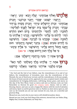### (בראש חדש אומרים

אֱל**ֹהֵי1)** יִאֲלֹהֵי אֲבוֹתֵינוּ<sup>ַ</sup> יְעֲלֶה וְיָבֹא ֹי יֵגְּיעַ׳ יִרְאֶה<sup>ָ</sup>

וְיִרְצָה<sup>ָ.</sup> יִשְּׁמַע<sup>ָ.</sup> יִפְּקֵד<sup>ָ.</sup> וְיִזָּבֵר זִכְרוֹגְנוּ<sup>.</sup> וְזִכְרוֹן ְ אֲבוֹתֵינוּ זִכְרוֹן יְרוּשָׁלַיִם עִירָד<sup>ָ.</sup> וְזִכְרוֹן מָשִׁיחַ בֶּן־דְּוִד עַבְדָּדִּי וְזִכְרוֹן בָלֹ־עַמְּךָּ בֵּית יִשְׂרָאֵל לְפָגֵיךָּ לִפְלֵיטָה ּ לְטוֹבָה ֹ לְחֵן ׁ לְחֶסֶד וּלְרַחֲמִים בְּיוֹם רֹאשׁ הַחְדֶשׁ ֧֖֖֖֧ׅׅ֧ׅ֧֦֧֧֦֧֧֦֧֧֚֚֚֚֚֚֚֚֚֚֚֚֚֚֚֚֝֝֓֕֓֓֓֞֓֝֬֓֓֝֬֓֓֝֬֓֓֝֬֝֬ ֧֧֖֖֖֖֖֖֖֖֖֧ׅׅ֧֧֧֧֦֧֧֧֧֧֧֧֧֧֧֚֚֚֚֚֚֚֚֚֚֚֚֚֝֝֝֓֓֓֓֞֟֓֝֬֓֝֓֞֟֓֓֞֟֓֓֞֓֝֬֝֓֞֝֬֓֝֬֝֓֝֬֝֓֝֬֝֬֝֬֝֬֝֬ רַ יִּיְ אֱלֹהֵינוּ בוֹ עָלֵינוּ וּלְהְוֹשִׁיעֵנוּ : זָבְרֵנוּ יְיָ אֱלֹהֵינוּ בוֹ ׅ֘ ּלְטוֹבָה (אָמֵן)· וּפַקְדֵנוּ בוֹ לִבְרָכְה (אָמֵן)· וְהְוֹשִׁיעֵנוּ ְ בֹוֹ לְחַיִּים טוֹבים (אָמֵן) : בִּדְבַר יְשׁוּעָה וְרַחֲמִים · חוּס ְ וְחָגֵּנוּ וַחֲמֹל וְרַחֵם עָלֵינוּ ווְהְוֹשִׁיעֵנוּ ּ כִּי אֵלֶיךָ עֵיגֵינוּ י ֘֒ ְ ֹכִּי אֵל מֶלֶךְ חַנּוּן וְרַחוּם אֶתְּה : עד כאן)

בְרוּךְ אַתָּה יְיָ<sup>.</sup> בּוֹנֵה בְרַחֲמְיו יְרְוּשָׁלֶם· אָמֵן: ב**ַרוּךְ אַתָּה יְיָ אֱלֹהֵינוּ מֶלֶדְ הֲעוֹלָם· לָעַד הָאֵל·** אָבִינוּ מַלְבֵּנוּי אַדִּירֵנוּי בִּוֹרְאֵנוּי גִּוֹאֲלֵנוּי קִדוֹשֵׁנוּ

Blessed are you, Lord, who in your mercy will rebuild Jerusalem. Amen.

Bessed are you, Lord, our God, King of the universe, eternal God, our Father, King, Mighty One, Creator, Redeemer, our Holy One ...

<sup>\*</sup> Our God and the God of our fathers, may the remembrance of us and of our fathers, the remembrance of Jerusalem, your city, the remembrance of the Messiah, the son of David your servant, and the remembrance of all your people, the house of Israel, ascend, arrive, approach, be seen, accepted, heard, visited, and remembered, for bringing deliverance, well-being, favour, grace, and mercy on this day of the New Moon. Grant us mercy and save us thereon, Lord, our God. Remember us thereon for good *(the company replies:* Amen*)*; visit us with a blessing *(*Amen); and save us unto a happy life (Amen) with the word of salvation and mercy. Spare us and be gracious unto us. Pardon us, have mercy upon us, and save us; for towards you are our eyes turned; for you, God, are a merciful and gracious King.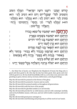ּקְדוֹשׁ יְעֲקֹבי רוֹעֵנוּ רוֹעֵה יִשְׂרַאֵּל הַמֵּלֵךְ הַטּוֹב וְהַמֵּטִיב לַכֹּלי שֶׁבְּכָל־יוֹם וָיוֹם הוּא הֵטִיב לַנוּי הוּא ּמְטִיב לְנוּי הוּא יֵיטִיב לְנוּ: הוּא גְמָלְנוּי הוּא גְוֹמְלֵנוּי ֧֧֖֖֖֖֖֖֧֖֧֖֖֚֚֚֚֚֚֚֚֚֚֚֚֚֚֝֝֬֝֓֝֬<br>֧֜֜**֓**֖֧֖֖֖֖֖֖֖֖֖֖֚֚֚֚֚֚֚֚֚֚֚֚֓֝  $\cdot$ יְרֶוַח יִגְמְלֵנוּ לְעַד־י חֵן־ וָחֶסֶד וְרַחֲמִים־ וְ הוּא ּוְהַצְּלָה<sup>ָ.</sup> וְכְל־טּוֹב : ֘֒ הַ**רְחֲמֶן** הוּא יִשְׁתַּבַּח עַל־כִּסֵא כְבוֹדוֹ הַרַחֲמַן הוּא יִשְׁתַּבַּח בַּשַּׁמַיִם וּבַאֲרֵץ הָרַחֲמָן הוּא יִשְׁתַּבַּח בֵּנוּ לְדוֹר דּוֹרִים ּרְרַחֲמָן הוּא קֶרֶן לְעַמּוֹ יְרִים י הַרַחֲמַן הוּא יִתְפָּאֵר בֵּנוּ לְנֵצַח נְצַחִים  $\aleph$ ּ בַּהֶתֵּ ר הָרְחֲמָן הוּא יְפַרְנְסֵנוּ בְכָבוֹד וְלֹא בְבִזוּי<sup>.</sup> וְ ְ ֧֖֧֖֖֖֖֖֖֖֖֖֖֧֚֚֚֚֚֚֚֚֚֚֚֝֬֝֬<u>֓</u> בְאִסּוּר וּ בְּנְחַת וְלֹא בְצַעַר בְּרֶוַח וְלֹא בְצִמְצוּם : ֧֖֖֖֖֖֖֖֖֖֧֚֚֚֚֚֚֚֚֚֝֬<u>֓</u> ְ ֖֧֖֖֖֖֖֖֖֖֖֖֖֧֚֚֚֚֚֚֚֚֚֚֚֝֝֬<u>֓</u> ָ הַרַחֲמֶן הוּא יִתֲן שַׁלוֹם בֵּינֵינוּ ּרְרַחֲמָן הוּא יִשְׁלַח בְּרָכְה וְהַצְלָחָה בְּכָל־מְעֲשֵׂי יְדֵינוּ : ֘֒

\* ... the Holy One of Jacob; our Shepherd, the Shepherd of Israel, the King who is good and does good to all; who day by day has done good, does good, and ever will do good to us. He has dealt bountifully with us, as he does now, and ever will: granting us grace, favour, mercy, increase, deliverance, and all good things.

May the All-merciful be praised on the throne of his glory.

May the All-merciful be praised in heaven and on earth.

May the All-merciful be praised amidst us throughout all generations.

May the All-merciful exalt the horn of his people.

May the All-merciful be glorified amidst us to all eternity.

May the All-merciful provide for us with honour, and not with contempt; lawfully, and not by forbidden means; with ease, and not with trouble; in planty, and not in scarcity.

May the All-merciful grant peace amongst us.

May the All-merciful send blessing and prosperity to all the work of our hands.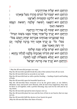|                      | הָרַחֲמָן הוּא יַצְלִיחַ אֶת־דְּרָכֵינוּ                                       |
|----------------------|--------------------------------------------------------------------------------|
|                      | הָרַחֲמָן הוּא יִשְׁבּוֹר עֹל הַגּוֹיִם מְהֵרָה מֵעַל צַוָּארֵנוּ              |
|                      | הָרְחֲמָן הוּא יְוֹלִיּבְנוּ קוֹמְמִיּוּת לְאַרְצֵנוּ                          |
|                      | הָרַחֲמָן הוּא יִרְפָּאֵנוּ דְפוּאָה שְׁלֵמְה רְפוּאַת הַגֶּבָּשׁ              |
|                      | וּרְפוּאַת הַגּוּף                                                             |
|                      | הָרַחֲמָן הוּא יִפְתַּח לְנוּ אֶת־יְדוֹ הֱרְחָבָה                              |
|                      | ּהָרַחֲמָן הוּא יְבְרֵךְ כְּל־אֶחָד וְאֶחָד מִמֶּנוּ בִּשְׁמוֹ הַגְּדוֹלֹי     |
|                      | יּכְמוֹ שֶׁנִּתְבְּרְכוּ אֲבוֹתֵינוּ אַבְרָהָם יִצְחָק וְיְעֲקֹב בַּכֹּלֹי     |
|                      | מִכֹּל ּ כֹּל ּ כֵּן יְבְרֵךְ אֹתֳנוּ יְחַד בְּרָכְה שְׁלֵמְה ּ וְכֵן          |
|                      | יְהִי רְצוֹן וְנֹאמַר אָמֵן                                                    |
|                      | הָרַחֲמָן הוּא יִפְרֹשׂ עָלֵינוּ סֻכַּת שְׁלוֹמוֹ                              |
|                      | ּהָרְחֲמָן הוּא יִטַּע תְּוֹרָתוֹ וְאַהֲבְתוֹ בְּלִבְּנוּ לְבִלְתִּי גֶחֱטָא : |
| $\ddot{\bullet}$     | הָרְחֲמָן הוּא יְמַלֵּא מִשְׁאֲלוֹת לִבְּנוּ לְטוֹבְה                          |
| $\left(\cdot\right)$ | (הָרְחֲמָן הוּא יְבְרֵךְ אֶת מְדִינַת יִשְׂרָאֵל                               |
|                      |                                                                                |

\* May the All-merciful prosper our ways.

 $\overline{7}$ 

May the All-merciful speedilt break the yoke of the nations from off our neck.

May the All-merciful lead us securely to our land.

May the All-merciful heal us with a perfect healing — healing of spirit and healing of body.

May the All-merciful open his bountiful hand to us.

May the All-merciful bless everyone of us by his great name, as our fathers, Abraham, Isaac and Jacob were blessed, with all and every happiness; thus may he bless us all together, with a perfect blessing; may such be his will and let us say, Amen.

May the All-merciful spread his tent of peace over us.

May the All-merciful plant his Law and the love of him in our hearts, that we may not sin.

May the All-merciful fulfil the desires of our hearts for good.

(May the All-merciful bless the State of Israel.)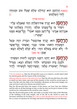(בשבת הָרָחֲמָן הוּא יַנְחִילֵנוּ עוֹלָם שֵׁכְּלּוֹ טוֹב וּמְנוּחָה לֹחַיֵּי הֲעוֹלַמְים ְ  $(:$ 

### (ברכת אורח

הַר**ְהֲה שֶׁ** הִיא יְבְרֵךְ אֶת־הַשָּׁלְחָן הַזֶּה שֶׁאָּכִלְנוּ עָלְיו<sup>.</sup> ֧֧֖֖֖֖֖֖֖֧֖֧֚֚֚֚֚֚֚֚֚֝֝֬֝֓<u>֓</u><br>֧֪֧֩֩ וִיסַדֵּר בּוֹ בָּל־מַעֲדֵנֵּי עוֹלָם וְיִהְיֶה בְשָׁלְהָנוֹ שֶׁל ׇ אַבְרָהָם אָבִינוּ<sup>. ֹ</sup> כָּל־רָעֵב מִמֶּנּוּ יא<sub>ֹ</sub>כַל־ וְכָלֹ־צָמֵא מִמֶּנוּ ׅ֘֒  $: \square$ יִשָּׁ תֵּ

הַ**רְחֲמָן** הוּא יְבְרֵדְּ אֶת־בַּעַל הַבֵּיִת הַזֶּה וּבְעַל ֧֖֖֖֚֚֚֝֬֝֬ ֿהַסְּעוּדָה הַזּאתׁי אּוֹתוֹי וּבְנְיוי וְאִשְׁתּוֹי וְכָל־אֲשֶׁר ּלֹא יֵבוֹשׁ בְּעוֹלָם הַזֶּה וְלְא יִבְּלֵם לְעוֹלָם הַבְּא ּ אָ מֵ ן׃ עד כאן)

הַרְחֲ**מְן** הוּא יְחַיְּנוּ וִיזַבְּנוּ וִיקְרְבִנוּ לִימוֹת הַמְּשִׁיחַ־ ֧֖֖֖֖֖֖֖֧֧֚֚֚֚֚֚֚֚֚֚֚֝֝֓<u>֚</u> וּלְבִנְיַ בֵּית הַמִּקְדָּשׁׁי וּלְחַיֵּי הַעוֹלַם הַבַּא: מִגְדִיל (מִגְדּוֹל) יְשׁוּעוֹרת מַלְּכּוֹי וְעְשֶׂה־חֶסֶד לִמְשִׁיחוֹי לְדָוִד

<sup>\*</sup> (*On the Sabbath say:* May the All-merciful cause us to inherit a world which shall be entirely good, and the repose of life everlasting.)

<sup>(</sup>*Blessing added by a guest at the table of his host:* May the All-merciful bless this table at which we have eaten, and may all the dainties of the world be served upon it; may it be like unto the table of our forefather Abraham, so that every hungry one may eat from it and every thirsty one drink from it.

May the All-merciful bless the master of this house, our host; him, his children and his wife an all that belongs to him, so that he may not be put to shame in this world nor be confounded in the world to come. Amen.)

May the All-merciful grant us life, and make us worthy of the days of the Messiah, of the building of the holy temple, and of the life in the world to come. He increases salvation for his king (*On a day on which Musáph forms part of the service:* He is a tower of salvation for his king) and shows loving-kindness to his Messiah...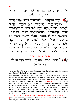וְדִׂרְשֵׁי יִי ּוּלְזַרְעוֹ עַד־עוֹלְם: בְּפִירִים רָשׁוּ וְרָעֵבוּי וְ ֧֖֖֖֖֖֖֖֖֖֖ׅ֪ׅ֚֚֚֚֚֚֚֚֚֚֚֝֬<u>֓</u> .<br>לֹאִ־יַחִסְרוּ כָל־טוֹב  $\boldsymbol{Q}$ ר הָיְתי גַּם־זָקְנְתִּי· וְלֹאזרָאִיתִי צַדִּיק נֶעֶזֶב· וְזַרְעוֹ מְבַקֶּשׁ־לָחֶם: כָּל-הַיּּוֹּם חוֹנֵן וּמַלְוֶה ֦֧֓֕ ֧֖֖֖֖֧ׅ֧֪֦֖֚֚֚֚֚֚֚֚֚֚֚֚֚֝֝֓֝֓֓֡֓֓֝֬֝֓֓֬֝֓֓֝֬֝֓֓֝֓֓֓֬֝֓֓ **וזרעוֹ** לִבְרָכָה : מַה־שֶׁאָּבִלְנוּ יְהְיֶה לְשָׂבְעָר וּמַה־שֶׁשָּׁתְינוּ ּ לִרְפוּאָרה וּמַה־שֶׁהוֹתַרְנוּ יְהְיֶרה כְּדִכְתִיבי וַיִּתֵן לִפְנִיהֶםי וַיּאַכְלוּ וַיּוֹתְירוּ כִּדְבַר יְיָ ֧֖֖֖֖֖֖ׅ֖֖֧֚֚֚֚֚֚֚֚֝֬<u>֓</u> בְּרוּכִים אַתֶּם לַיְיָ עִשֵׁה שָׁמְיִם וָאֲרֶץ: בְּרוּךְ הַגֶּבֶר אֲשֶׁר יִבְטַח בַּיְיָ וְהָיָה יְיָ מִבְטָחוֹ : יְיָ עֹז לְעַמוֹ יִתֵּן<sup>.</sup> יְיָ יָבְרֵדְ אֶת־עַמּוֹ בַּשָּׁלוֹם: כִּי־הִשְׂבִּיעַ נֶפֶּשׁ שֹׂקֵקָה· וְגֶפֶשׁ יְעֶבָרה מִלֵּא־טוֹב : הוֹדוּ לַיְיָ כִּי־טוֹב · כִּי לְעוֹלָם חַסְדוֹ ְ

9

ומוזנין כוס של יין ומברכין

־**י** מֶרָנְז בְּרוּךְ אַתָּה יִיָ אֵלֹהֵינוּ מֵלֵךְ הַעוֹלֹם־ ּבּוֹרֵא פְּרִי הַגֶּפֶן:

*It is customary to drink wine after Grace, in which case the Reader continues:* 

[With your approval, gentlemen.] Blessed are you, Lord, our God, King of the universe, who creates the fruit of the vine.

<sup>\*</sup> ... to David and his seed for ever. The young lions do lack and suffer hunger; but they that seek the Lord shall not want any good thing.

I have been young, and now am old; yet have I not seen the righteous forsaken, nor his seed begging bread. He is ever merciful, and lends, and his seed is blessed. May what we have eaten, satisfy us; what we have drunk, be for health; and what we have left, be for a blessing; as it is written (2 Kings 4:44), "So he set it before them, and they did eat and left thereof, according to the word of the Lord." You are blessed of the Lord who made heaven and earth. Blessed is the man who trusts in the Lord, and whose trust the Lord is. The Lord will give strength unto his people; the Lord will bless his people with peace. For he satisfies the longing soul, and fills the hungry soul with goodness. Give thanks unto the Lord, for he is good; for his mercy endures for ever.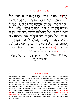## ברכה אחרונה על היין

ב**ְרוּךְ אַתָּה יְיָ אֱלֹהֵינוּ מֶלֶדְ הֲעוֹלָם· עַל הַגֶּפֶן· וְעַל** ּפְּרִי הַגֶּפֶּן׃ וְעַל הְּנוּבַרת הַשָּׂדֶה׃ וְעַל אֱרֶץ חֶמְדָּה ְ ּטוֹבָה וּרְחָבְה יֹשֶׁרָצִיתְ וְהִנְחִלְתָּ לְעַמְּךָ יִשְׂרָאֵל ּ לֶאֱכוֹל וְעַל ּיִ וְלִשְׁבִּוֹעַ מִטּוּבָהּ: רַחֵם יְיָ אֱלֹהֵינוּ עָלֵינוּ מִפּריה יִשְׂרָאֵל עָמָֽדִּי וְעַל יְרְוּשָׁלַיִּם עִירָדִּי וְעַל צִיּוֹן מִשְׁכַּן כּבוֹדָ ך ֧֖֖֖֖֖֖֖֧֚֚֚֚֚֚֚֚֚֚֚֚֚֝<u>֓</u><br>֧֧֖֖֧֖֖֖֖֖֧֚֚֚֚֚֚֚֚֚֚֚֚֚֚֚֚֚֚֚֝֝֝ ִי וְעַל מִזְבָּחָד<sup>ָ.</sup> וְעַל הֵיכָלָד<sup>ָ.</sup> וּבְנֵה יְרוּשָׁלִַם עִיר ּהַקֹּדֶשׁ בִּמְהֵרָה בְיָמֵינוּ וְהַעֲלֵנוּ לְתוֹכָה בִּמְהֵרָה ּ וְשַׂמְּחֵנוּ בָהּ וְנִשְׂבַע מִטּוּבָה וּנְבְרֶבְדָּ עָלֶיהָ בִּקְדֻשָּׁה ּוּבְטֶהֲרָה: (בשבת וּרְצֵה וְהַחַלִיּצֵנוּ בְיוֹם הַמָּנְוֹחַ הַזֶּה: בּראש חדש וְזָכְרֵנוּ לְטוֹבָה · בְיוֹם רֹאשׁ הַחְדָשׁ הַזֶּה :) כִּי ְ אַתַּה טוֹב וּמֵטִיב לַכֹּלי בַּרוּךְ אַתָּר*ז יְיָי עַל הָאֲרֵץ*י **ְיְעַל פֵּרִי הַגֶּפֶן:** 

#### \* The Samuel Contract GRACE AFTER DRINKING WINE

Blessed are you, Lord, our God, King of the universe, for the vine, and the fruit of the vine, and for the produce of the field, and for the desirable, good, and ample land, which you were pleased to cause our ancestors to inherit; to eat the frui thereof, and be satisfied with its goodness. Lord, our God, have mercy on us, on your people Israel, on Jerusalem, your city; and on Zion, the abode of your glory; on your altar, and on your temple. Rebuild the holy city of Jerusalem speedily in our days, and lead us quickly thereto; cause us to rejoice therein, and be satisfied with its goodness; and to bless you for it, in holiness and purity. (*On the Sabbath say*: And be pleased to grant us ease of mind on this Sabbath-day. *On the Day of the New Moon say:* And remember us for good, on this first day of the month.) For you, Lord, are good and do good to all. Blessed are you, Lord, for the land and for the fruit of the vine.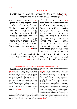#### בחנוכה ובפורים׃

על הנסים<sup>,</sup> עַל הַפְּרְקָן ּעַל הַגְּבוּרוֹת ּוְעַל הַתְּשׁוּעוֹת ּוְעַל הַגִּפְלַאוֹת וְעַל הַגֵּחָמוֹת *ּ שֵׁעֲשֶׂי*תָ לַאֲבוֹתֵינוּ בַּיָּמִים הָהֵם וּבַזִּמַן הַזֵּה :

חנוכה: בִּימֵי מַתְּתִיַה בֵּוְ־יִוֹחֲנַן כֹּהֵן ן גַּדוֹל חַשְׁמוֹנַאִי וּבַנָיו ּ כִּשֶׁאֲמְדַה מַלְכוּת ְ הרשִׁעָה עַל עַמַּדְּ יִשְׂראָל ּ לְשַׁכַּחִם מִתּוֹרתִדִּ∙ וּלִהעִבירם מִחקי רצוֹנדִ: ברחמידּ הרבּים• עמדתּ להם בִּעָת צַרתם∙ רִבְתְּ אֶת־רִיבִם∙ דִּנְתָּ נַקְמִתְ אֶת־נִקְמַתָם ּ מְסַרְתַּ בִּיִם חַלְּשָׁיִם וְרִבִּים ּ מִעְטִּים - דִּיד צַדִּיקִים וּטְמֶאִים בְּיַד טָהוֹרִים וְזֶדִים בִּיד עְוֹסָקֵי תְוֹרָתֵךָּ וּלְךָ עַשֵׂיתַ שֵׁם גַּדוֹל וְקָדוֹשׁ בְּעְוֹלָמֵדְּ וּלְעַמִּךְ יִשְׂרַאֵל עַשֵׂיתַ ּ פורים: בִּימֵי מַרְדְּכֵי וְאֵסְתֵּר בִּשׁוּשַׁן ּ הַבִּירָה • כִּשֶׁעָמַד עֵלֵיהֶם הַמַן הֲרַשָּׁע בִקַּשׁ לַהשַׁמִיד להרֹג וּלִאַבֵּד אֶת־כּל־היִּהוּדִים ּ מְנַּעַר וְעַד זַקֵן ּ טַף וְנִשִׁים - בִּיוֹם אֶחִד - בַּשְׁלוֹשָׁה לחֹדשׁ שִׁנִים עַשׂר∙ הוּא חֹדשׁ אִד ּללם לִבוֹז: וֹאִתְּה בְרַחְמֱיךְּ הַרַבִּים הֵפַרְתּ אֶת־עָצַתוֹ וְקָלְקִלְתּ אֶת־ ּ מִתְּלוֹ בִראָשׁוֹ וְתַלוּ אוֹתוֹ וְאֱת־בַּנִיו עַל הַעֲץ۰ וְעָשֵׂיתַ עִמָּהֶם נֵס וְפֵלֵא∙ וְנוֹדֵה לְשָׁמְדְּ הַגַּדוֹל סֶ ֽ לָ ה׃ עד כאן

וְאַחַר כַּדְּ בָּאוּ בְנֵיךְּ לִדְבִיר בֵּיתֶדִּ٠ וּפִנוּ אֶת־הֵיכָלֶדִּ٠ וְטֶהֲרוּ אֶת־ ּוְהִדְלִיקוּ נֵרוֹת בְּחַצְרוֹת קַדְשֵׁדִּ∙ וְקֵבְעוּ שְׁמוֹנָה יָמִים אֱלוּ בִּהֲלֵל וּבְהִוֹדָאָה∙ עִמַּהֵם נִסִּים וְנִפְלֹאוֹת∙ וְנוֹדֶה לְשָׁמְדְּ הגִּדוֹל סֵלה : עד כאן

 $\overline{\phantom{a}}$  , and the contract of the contract of the contract of the contract of the contract of the contract of the contract of the contract of the contract of the contract of the contract of the contract of the contrac

#### *During the Feast of Dedication (Hanucáh) and on the Feast of Lots (Puréem) say*

We thank you for the miracles, redemption, mighty deeds, saving acts, wonders and consaolations, which you did work for our fathers, in those days, at this season.

*Puréem:* In the days of Mordecai and Esther, in Shushan, the capital, when the wicked Haman rose up against them, who sought to destroy, slay, and extirpate all the Jews, young and old, little children and women in one day, even upon the thirteenth day of the twelth month, which is the month Adar, and to take the spoil of them for a prey; but you, through your abundant mercy, did frustrate his counsel, bring his designs to naught and return his recompense upon his own head. They hanged him and his sons on the gallows. You did work wonders and miracles for the Jews; and we thank your great name. Selah. *(Till here.)* 

*Hanucáh:* In the days of Mattathias son of the high priest Johanan the Hasmonean and his sons, when the iniquitous government of Greece rose up against your people Israel, to make them forget your law, and transgress the statutes of your will; you in your great mercy rose up in their behalf, in the time of their trouble; you did contend for them, did plead their cause and avenge their wrongs. You did deliver the mighty into the hands of the weak, the many into the hands of the few and the wicked into the hands of the righteous; the impure into the hands of the pure and the arrogant into the hands of them that occupied themselves with your Law. For yourself did you make a great and holy name in your world and work a great salvation and

תִּ גִדוֹלָה וּפַרקן כַּהיּוֹם הזה

redemption for your people Israel as at this day; thereupon your children came into the shrine of your house, cleansed your temple and purified your sanctuary, and did light lamps in your holy courts; and appointed these eight days to be kept, with praise and thenksgiving, for the wonders and miracles you did perform for them; and we thank your great name. Selah. *(till here.)*